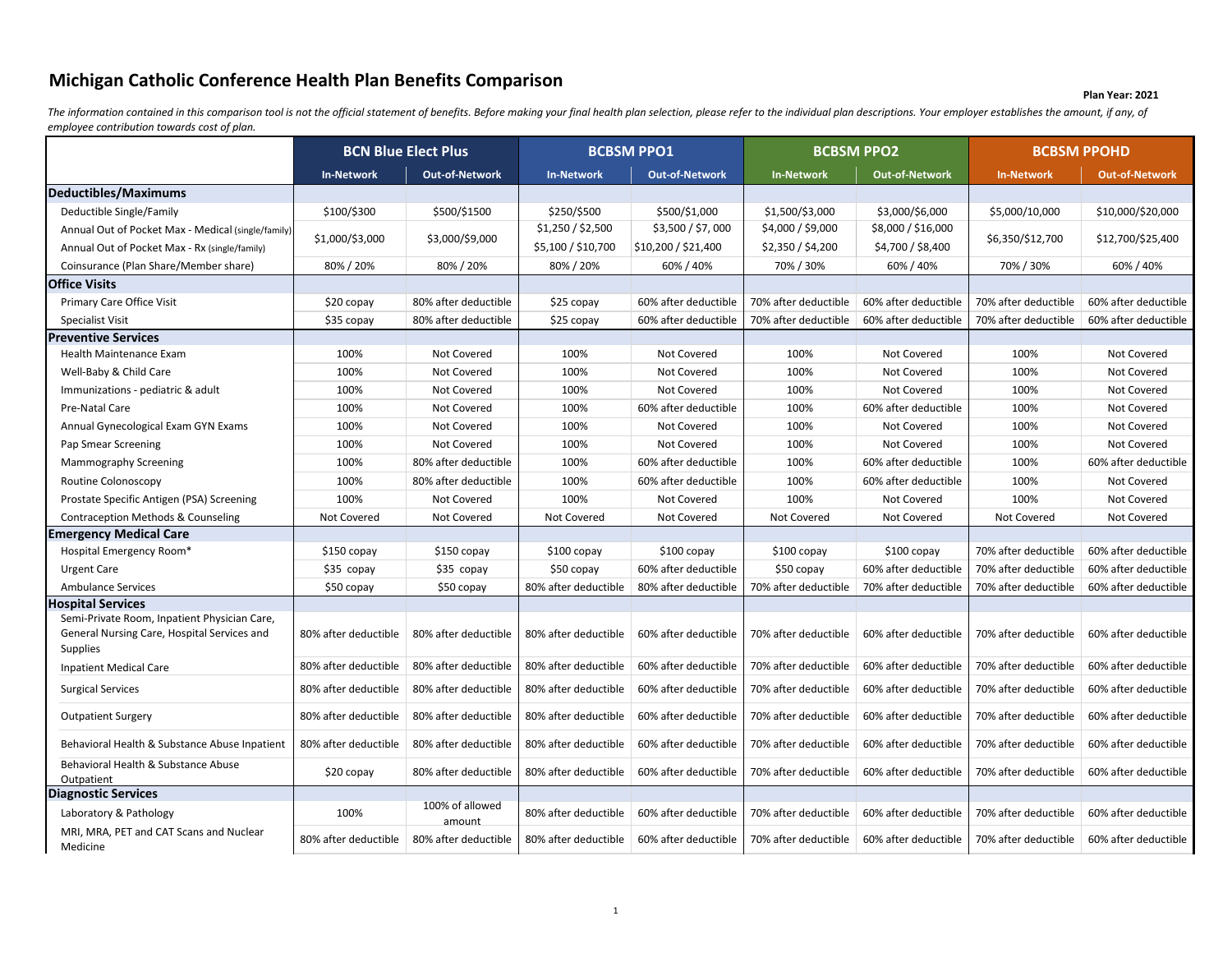## **Michigan Catholic Conference Health Plan Benefits Comparison**

## **Plan Year: 2021**

The information contained in this comparison tool is not the official statement of benefits. Before making your final health plan selection, please refer to the individual plan descriptions. Your employer establishes the a *employee contribution towards cost of plan.*

|                                                                                                                | <b>BCN Blue Elect Plus</b> |                           | <b>BCBSM PPO1</b>                       |                                          | <b>BCBSM PPO2</b>                      |                                         | <b>BCBSM PPOHD</b>   |                       |
|----------------------------------------------------------------------------------------------------------------|----------------------------|---------------------------|-----------------------------------------|------------------------------------------|----------------------------------------|-----------------------------------------|----------------------|-----------------------|
|                                                                                                                | <b>In-Network</b>          | <b>Out-of-Network</b>     | <b>In-Network</b>                       | <b>Out-of-Network</b>                    | <b>In-Network</b>                      | <b>Out-of-Network</b>                   | <b>In-Network</b>    | <b>Out-of-Network</b> |
| Deductibles/Maximums                                                                                           |                            |                           |                                         |                                          |                                        |                                         |                      |                       |
| Deductible Single/Family                                                                                       | \$100/\$300                | \$500/\$1500              | \$250/\$500                             | \$500/\$1,000                            | \$1,500/\$3,000                        | \$3,000/\$6,000                         | \$5,000/10,000       | \$10,000/\$20,000     |
| Annual Out of Pocket Max - Medical (single/family<br>Annual Out of Pocket Max - Rx (single/family)             | \$1,000/\$3,000            | \$3,000/\$9,000           | \$1,250 / \$2,500<br>\$5,100 / \$10,700 | \$3,500 / \$7,000<br>\$10,200 / \$21,400 | \$4,000 / \$9,000<br>\$2,350 / \$4,200 | \$8,000 / \$16,000<br>\$4,700 / \$8,400 | \$6,350/\$12,700     | \$12,700/\$25,400     |
| Coinsurance (Plan Share/Member share)                                                                          | 80% / 20%                  | 80%/20%                   | 80%/20%                                 | 60% / 40%                                | 70% / 30%                              | 60% / 40%                               | 70%/30%              | 60% / 40%             |
| Office Visits                                                                                                  |                            |                           |                                         |                                          |                                        |                                         |                      |                       |
| Primary Care Office Visit                                                                                      | \$20 copay                 | 80% after deductible      | \$25 copay                              | 60% after deductible                     | 70% after deductible                   | 60% after deductible                    | 70% after deductible | 60% after deductible  |
| Specialist Visit                                                                                               | \$35 copay                 | 80% after deductible      | \$25 copay                              | 60% after deductible                     | 70% after deductible                   | 60% after deductible                    | 70% after deductible | 60% after deductible  |
| <b>Preventive Services</b>                                                                                     |                            |                           |                                         |                                          |                                        |                                         |                      |                       |
| Health Maintenance Exam                                                                                        | 100%                       | <b>Not Covered</b>        | 100%                                    | Not Covered                              | 100%                                   | Not Covered                             | 100%                 | Not Covered           |
| Well-Baby & Child Care                                                                                         | 100%                       | Not Covered               | 100%                                    | Not Covered                              | 100%                                   | Not Covered                             | 100%                 | Not Covered           |
| Immunizations - pediatric & adult                                                                              | 100%                       | Not Covered               | 100%                                    | Not Covered                              | 100%                                   | <b>Not Covered</b>                      | 100%                 | Not Covered           |
| Pre-Natal Care                                                                                                 | 100%                       | Not Covered               | 100%                                    | 60% after deductible                     | 100%                                   | 60% after deductible                    | 100%                 | Not Covered           |
| Annual Gynecological Exam GYN Exams                                                                            | 100%                       | Not Covered               | 100%                                    | Not Covered                              | 100%                                   | Not Covered                             | 100%                 | Not Covered           |
| Pap Smear Screening                                                                                            | 100%                       | Not Covered               | 100%                                    | Not Covered                              | 100%                                   | Not Covered                             | 100%                 | Not Covered           |
| Mammography Screening                                                                                          | 100%                       | 80% after deductible      | 100%                                    | 60% after deductible                     | 100%                                   | 60% after deductible                    | 100%                 | 60% after deductible  |
| Routine Colonoscopy                                                                                            | 100%                       | 80% after deductible      | 100%                                    | 60% after deductible                     | 100%                                   | 60% after deductible                    | 100%                 | Not Covered           |
| Prostate Specific Antigen (PSA) Screening                                                                      | 100%                       | <b>Not Covered</b>        | 100%                                    | Not Covered                              | 100%                                   | Not Covered                             | 100%                 | Not Covered           |
| <b>Contraception Methods &amp; Counseling</b>                                                                  | Not Covered                | Not Covered               | Not Covered                             | Not Covered                              | Not Covered                            | Not Covered                             | Not Covered          | Not Covered           |
| Emergency Medical Care                                                                                         |                            |                           |                                         |                                          |                                        |                                         |                      |                       |
| Hospital Emergency Room*                                                                                       | $$150$ copay               | $$150$ copay              | $$100$ copay                            | $$100$ copay                             | \$100 copay                            | $$100$ copay                            | 70% after deductible | 60% after deductible  |
| <b>Urgent Care</b>                                                                                             | $$35$ copay                | \$35 copay                | \$50 copay                              | 60% after deductible                     | \$50 copay                             | 60% after deductible                    | 70% after deductible | 60% after deductible  |
| <b>Ambulance Services</b>                                                                                      | \$50 copay                 | \$50 copay                | 80% after deductible                    | 80% after deductible                     | 70% after deductible                   | 70% after deductible                    | 70% after deductible | 60% after deductible  |
| <b>Hospital Services</b>                                                                                       |                            |                           |                                         |                                          |                                        |                                         |                      |                       |
| Semi-Private Room, Inpatient Physician Care,<br>General Nursing Care, Hospital Services and<br><b>Supplies</b> | 80% after deductible       | 80% after deductible      | 80% after deductible                    | 60% after deductible                     | 70% after deductible                   | 60% after deductible                    | 70% after deductible | 60% after deductible  |
| <b>Inpatient Medical Care</b>                                                                                  | 80% after deductible       | 80% after deductible      | 80% after deductible                    | 60% after deductible                     | 70% after deductible                   | 60% after deductible                    | 70% after deductible | 60% after deductible  |
| <b>Surgical Services</b>                                                                                       | 80% after deductible       | 80% after deductible      | 80% after deductible                    | 60% after deductible                     | 70% after deductible                   | 60% after deductible                    | 70% after deductible | 60% after deductible  |
| <b>Outpatient Surgery</b>                                                                                      | 80% after deductible       | 80% after deductible      | 80% after deductible                    | 60% after deductible                     | 70% after deductible                   | 60% after deductible                    | 70% after deductible | 60% after deductible  |
| Behavioral Health & Substance Abuse Inpatient                                                                  | 80% after deductible       | 80% after deductible      | 80% after deductible                    | 60% after deductible                     | 70% after deductible                   | 60% after deductible                    | 70% after deductible | 60% after deductible  |
| Behavioral Health & Substance Abuse<br>Outpatient                                                              | \$20 copay                 | 80% after deductible      | 80% after deductible                    | 60% after deductible                     | 70% after deductible                   | 60% after deductible                    | 70% after deductible | 60% after deductible  |
| <b>Diagnostic Services</b>                                                                                     |                            |                           |                                         |                                          |                                        |                                         |                      |                       |
| Laboratory & Pathology                                                                                         | 100%                       | 100% of allowed<br>amount | 80% after deductible                    | 60% after deductible                     | 70% after deductible                   | 60% after deductible                    | 70% after deductible | 60% after deductible  |
| MRI, MRA, PET and CAT Scans and Nuclear<br>Medicine                                                            | 80% after deductible       | 80% after deductible      | 80% after deductible                    | 60% after deductible                     | 70% after deductible                   | 60% after deductible                    | 70% after deductible | 60% after deductible  |